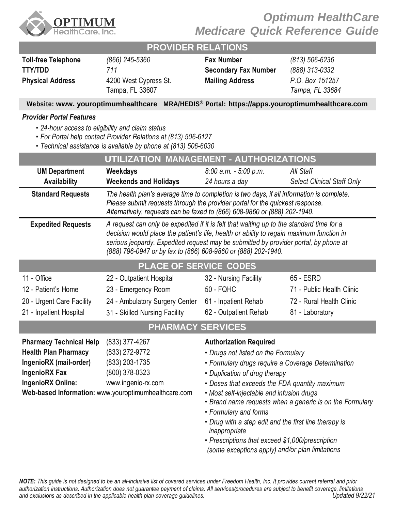

# *Optimum HealthCare Medicare Quick Reference Guide*

### **PROVIDER RELATIONS**

| <b>Toll-free Telephone</b> | (866) 245-5360                           | <b>Fax Number</b>      |
|----------------------------|------------------------------------------|------------------------|
| TTY/TDD                    | 711                                      | Secondary Fax N        |
| <b>Physical Address</b>    | 4200 West Cypress St.<br>Tampa, FL 33607 | <b>Mailing Address</b> |

**Toll-free Telephone** *(866) 245-5360* **Fax Number** *(813) 506-6236* **TTY/TDD** *711* **Secondary Fax Number** *(888) 313-0332* **Mailing Address** *P.O. Box 151257 Tampa, FL 33684*

### **Website: [www. youroptimumhealthcare](www.%20youroptimumhealthcare%20) MRA/HEDIS® Portal: https://apps.youroptimumhealthcare.com**

#### *Provider Portal Features*

- *• 24-hour access to eligibility and claim status*
- *• For Portal help contact Provider Relations at (813) 506-6127*
- *• Technical assistance is available by phone at (813) 506-6030*

| UTILIZATION MANAGEMENT - AUTHORIZATIONS                                                                                              |                                                                                                                                                                                                                                                                                                                                               |                                                                                                                                                                                                                                                                                                                                                                                                                                                                                                                                 |                                   |  |  |
|--------------------------------------------------------------------------------------------------------------------------------------|-----------------------------------------------------------------------------------------------------------------------------------------------------------------------------------------------------------------------------------------------------------------------------------------------------------------------------------------------|---------------------------------------------------------------------------------------------------------------------------------------------------------------------------------------------------------------------------------------------------------------------------------------------------------------------------------------------------------------------------------------------------------------------------------------------------------------------------------------------------------------------------------|-----------------------------------|--|--|
| <b>UM Department</b>                                                                                                                 | Weekdays                                                                                                                                                                                                                                                                                                                                      | $8:00$ a.m. $-5:00$ p.m.                                                                                                                                                                                                                                                                                                                                                                                                                                                                                                        | All Staff                         |  |  |
| <b>Availability</b>                                                                                                                  | <b>Weekends and Holidays</b>                                                                                                                                                                                                                                                                                                                  | 24 hours a day                                                                                                                                                                                                                                                                                                                                                                                                                                                                                                                  | <b>Select Clinical Staff Only</b> |  |  |
| <b>Standard Requests</b>                                                                                                             | The health plan's average time to completion is two days, if all information is complete.<br>Please submit requests through the provider portal for the quickest response.<br>Alternatively, requests can be faxed to (866) 608-9860 or (888) 202-1940.                                                                                       |                                                                                                                                                                                                                                                                                                                                                                                                                                                                                                                                 |                                   |  |  |
| <b>Expedited Requests</b>                                                                                                            | A request can only be expedited if it is felt that waiting up to the standard time for a<br>decision would place the patient's life, health or ability to regain maximum function in<br>serious jeopardy. Expedited request may be submitted by provider portal, by phone at<br>(888) 796-0947 or by fax to (866) 608-9860 or (888) 202-1940. |                                                                                                                                                                                                                                                                                                                                                                                                                                                                                                                                 |                                   |  |  |
| PLACE OF SERVICE CODES                                                                                                               |                                                                                                                                                                                                                                                                                                                                               |                                                                                                                                                                                                                                                                                                                                                                                                                                                                                                                                 |                                   |  |  |
| 11 - Office                                                                                                                          | 22 - Outpatient Hospital                                                                                                                                                                                                                                                                                                                      | 32 - Nursing Facility                                                                                                                                                                                                                                                                                                                                                                                                                                                                                                           | 65 - ESRD                         |  |  |
| 12 - Patient's Home                                                                                                                  | 23 - Emergency Room                                                                                                                                                                                                                                                                                                                           | <b>50 - FQHC</b>                                                                                                                                                                                                                                                                                                                                                                                                                                                                                                                | 71 - Public Health Clinic         |  |  |
| 20 - Urgent Care Facility                                                                                                            | 24 - Ambulatory Surgery Center                                                                                                                                                                                                                                                                                                                | 61 - Inpatient Rehab                                                                                                                                                                                                                                                                                                                                                                                                                                                                                                            | 72 - Rural Health Clinic          |  |  |
| 21 - Inpatient Hospital                                                                                                              | 31 - Skilled Nursing Facility                                                                                                                                                                                                                                                                                                                 | 62 - Outpatient Rehab                                                                                                                                                                                                                                                                                                                                                                                                                                                                                                           | 81 - Laboratory                   |  |  |
| <b>PHARMACY SERVICES</b>                                                                                                             |                                                                                                                                                                                                                                                                                                                                               |                                                                                                                                                                                                                                                                                                                                                                                                                                                                                                                                 |                                   |  |  |
| <b>Pharmacy Technical Help</b><br><b>Health Plan Pharmacy</b><br>IngenioRX (mail-order)<br><b>IngenioRX Fax</b><br>IngenioRX Online: | $(833)$ 377-4267<br>(833) 272-9772<br>(833) 203-1735<br>(800) 378-0323<br>www.ingenio-rx.com<br>Web-based Information: www.youroptimumhealthcare.com                                                                                                                                                                                          | <b>Authorization Required</b><br>• Drugs not listed on the Formulary<br>• Formulary drugs require a Coverage Determination<br>• Duplication of drug therapy<br>• Doses that exceeds the FDA quantity maximum<br>• Most self-injectable and infusion drugs<br>• Brand name requests when a generic is on the Formulary<br>• Formulary and forms<br>• Drug with a step edit and the first line therapy is<br>inappropriate<br>• Prescriptions that exceed \$1,000/prescription<br>(some exceptions apply) and/or plan limitations |                                   |  |  |